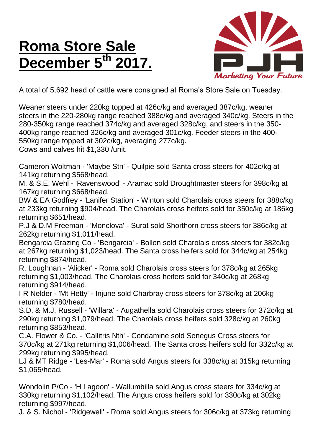## **Roma Store Sale December 5<sup>th</sup>**



A total of 5,692 head of cattle were consigned at Roma's Store Sale on Tuesday.

Weaner steers under 220kg topped at 426c/kg and averaged 387c/kg, weaner steers in the 220-280kg range reached 388c/kg and averaged 340c/kg. Steers in the 280-350kg range reached 374c/kg and averaged 328c/kg, and steers in the 350- 400kg range reached 326c/kg and averaged 301c/kg. Feeder steers in the 400- 550kg range topped at 302c/kg, averaging 277c/kg. Cows and calves hit \$1,330 /unit.

Cameron Woltman - 'Maybe Stn' - Quilpie sold Santa cross steers for 402c/kg at 141kg returning \$568/head.

M. & S.E. Wehl - 'Ravenswood' - Aramac sold Droughtmaster steers for 398c/kg at 167kg returning \$668/head.

BW & EA Godfrey - 'Lanifer Station' - Winton sold Charolais cross steers for 388c/kg at 233kg returning \$904/head. The Charolais cross heifers sold for 350c/kg at 186kg returning \$651/head.

P.J & D.M Freeman - 'Monclova' - Surat sold Shorthorn cross steers for 386c/kg at 262kg returning \$1,011/head.

Bengarcia Grazing Co - 'Bengarcia' - Bollon sold Charolais cross steers for 382c/kg at 267kg returning \$1,023/head. The Santa cross heifers sold for 344c/kg at 254kg returning \$874/head.

R. Loughnan - 'Alicker' - Roma sold Charolais cross steers for 378c/kg at 265kg returning \$1,003/head. The Charolais cross heifers sold for 340c/kg at 268kg returning \$914/head.

I R Nelder - 'Mt Hetty' - Injune sold Charbray cross steers for 378c/kg at 206kg returning \$780/head.

S.D. & M.J. Russell - 'Willara' - Augathella sold Charolais cross steers for 372c/kg at 290kg returning \$1,079/head. The Charolais cross heifers sold 328c/kg at 260kg returning \$853/head.

C.A. Flower & Co. - 'Callitris Nth' - Condamine sold Senegus Cross steers for 370c/kg at 271kg returning \$1,006/head. The Santa cross heifers sold for 332c/kg at 299kg returning \$995/head.

LJ & MT Ridge - 'Les-Mar' - Roma sold Angus steers for 338c/kg at 315kg returning \$1,065/head.

Wondolin P/Co - 'H Lagoon' - Wallumbilla sold Angus cross steers for 334c/kg at 330kg returning \$1,102/head. The Angus cross heifers sold for 330c/kg at 302kg returning \$997/head.

J. & S. Nichol - 'Ridgewell' - Roma sold Angus steers for 306c/kg at 373kg returning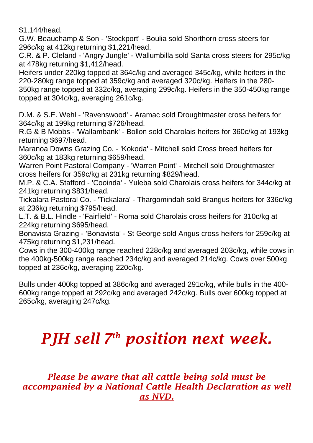\$1,144/head.

G.W. Beauchamp & Son - 'Stockport' - Boulia sold Shorthorn cross steers for 296c/kg at 412kg returning \$1,221/head.

C.R. & P. Cleland - 'Angry Jungle' - Wallumbilla sold Santa cross steers for 295c/kg at 478kg returning \$1,412/head.

Heifers under 220kg topped at 364c/kg and averaged 345c/kg, while heifers in the 220-280kg range topped at 359c/kg and averaged 320c/kg. Heifers in the 280- 350kg range topped at 332c/kg, averaging 299c/kg. Heifers in the 350-450kg range topped at 304c/kg, averaging 261c/kg.

D.M. & S.E. Wehl - 'Ravenswood' - Aramac sold Droughtmaster cross heifers for 364c/kg at 199kg returning \$726/head.

R.G & B Mobbs - 'Wallambank' - Bollon sold Charolais heifers for 360c/kg at 193kg returning \$697/head.

Maranoa Downs Grazing Co. - 'Kokoda' - Mitchell sold Cross breed heifers for 360c/kg at 183kg returning \$659/head.

Warren Point Pastoral Company - 'Warren Point' - Mitchell sold Droughtmaster cross heifers for 359c/kg at 231kg returning \$829/head.

M.P. & C.A. Stafford - 'Cooinda' - Yuleba sold Charolais cross heifers for 344c/kg at 241kg returning \$831/head.

Tickalara Pastoral Co. - 'Tickalara' - Thargomindah sold Brangus heifers for 336c/kg at 236kg returning \$795/head.

L.T. & B.L. Hindle - 'Fairfield' - Roma sold Charolais cross heifers for 310c/kg at 224kg returning \$695/head.

Bonavista Grazing - 'Bonavista' - St George sold Angus cross heifers for 259c/kg at 475kg returning \$1,231/head.

Cows in the 300-400kg range reached 228c/kg and averaged 203c/kg, while cows in the 400kg-500kg range reached 234c/kg and averaged 214c/kg. Cows over 500kg topped at 236c/kg, averaging 220c/kg.

Bulls under 400kg topped at 386c/kg and averaged 291c/kg, while bulls in the 400- 600kg range topped at 292c/kg and averaged 242c/kg. Bulls over 600kg topped at 265c/kg, averaging 247c/kg.

## *PJH sell 7 th position next week.*

## *Please be aware that all cattle being sold must be accompanied by a National Cattle Health Declaration as well as NVD.*